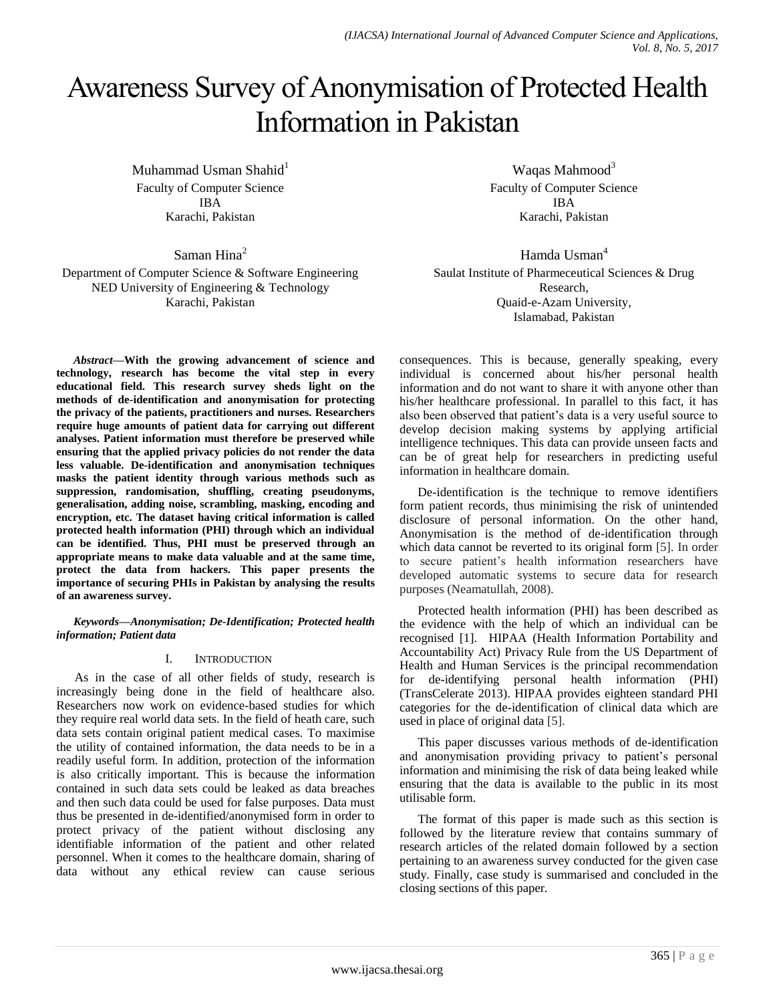# Awareness Survey of Anonymisation of Protected Health Information in Pakistan

Muhammad Usman Shahid $1$ Faculty of Computer Science IBA Karachi, Pakistan

Saman Hina<sup>2</sup>

Department of Computer Science & Software Engineering NED University of Engineering & Technology Karachi, Pakistan

*Abstract***—With the growing advancement of science and technology, research has become the vital step in every educational field. This research survey sheds light on the methods of de-identification and anonymisation for protecting the privacy of the patients, practitioners and nurses. Researchers require huge amounts of patient data for carrying out different analyses. Patient information must therefore be preserved while ensuring that the applied privacy policies do not render the data less valuable. De-identification and anonymisation techniques masks the patient identity through various methods such as suppression, randomisation, shuffling, creating pseudonyms, generalisation, adding noise, scrambling, masking, encoding and encryption, etc. The dataset having critical information is called protected health information (PHI) through which an individual can be identified. Thus, PHI must be preserved through an appropriate means to make data valuable and at the same time, protect the data from hackers. This paper presents the importance of securing PHIs in Pakistan by analysing the results of an awareness survey.**

*Keywords—Anonymisation; De-Identification; Protected health information; Patient data*

## I. INTRODUCTION

As in the case of all other fields of study, research is increasingly being done in the field of healthcare also. Researchers now work on evidence-based studies for which they require real world data sets. In the field of heath care, such data sets contain original patient medical cases. To maximise the utility of contained information, the data needs to be in a readily useful form. In addition, protection of the information is also critically important. This is because the information contained in such data sets could be leaked as data breaches and then such data could be used for false purposes. Data must thus be presented in de-identified/anonymised form in order to protect privacy of the patient without disclosing any identifiable information of the patient and other related personnel. When it comes to the healthcare domain, sharing of data without any ethical review can cause serious

Waqas Mahmood<sup>3</sup> Faculty of Computer Science IBA Karachi, Pakistan

Hamda Usman<sup>4</sup> Saulat Institute of Pharmeceutical Sciences & Drug Research, Quaid-e-Azam University, Islamabad, Pakistan

consequences. This is because, generally speaking, every individual is concerned about his/her personal health information and do not want to share it with anyone other than his/her healthcare professional. In parallel to this fact, it has also been observed that patient"s data is a very useful source to develop decision making systems by applying artificial intelligence techniques. This data can provide unseen facts and can be of great help for researchers in predicting useful information in healthcare domain.

De-identification is the technique to remove identifiers form patient records, thus minimising the risk of unintended disclosure of personal information. On the other hand, Anonymisation is the method of de-identification through which data cannot be reverted to its original form [5]. In order to secure patient"s health information researchers have developed automatic systems to secure data for research purposes (Neamatullah, 2008).

Protected health information (PHI) has been described as the evidence with the help of which an individual can be recognised [1]. HIPAA (Health Information Portability and Accountability Act) Privacy Rule from the US Department of Health and Human Services is the principal recommendation for de-identifying personal health information (PHI) (TransCelerate 2013). HIPAA provides eighteen standard PHI categories for the de-identification of clinical data which are used in place of original data [5].

This paper discusses various methods of de-identification and anonymisation providing privacy to patient's personal information and minimising the risk of data being leaked while ensuring that the data is available to the public in its most utilisable form.

The format of this paper is made such as this section is followed by the literature review that contains summary of research articles of the related domain followed by a section pertaining to an awareness survey conducted for the given case study. Finally, case study is summarised and concluded in the closing sections of this paper.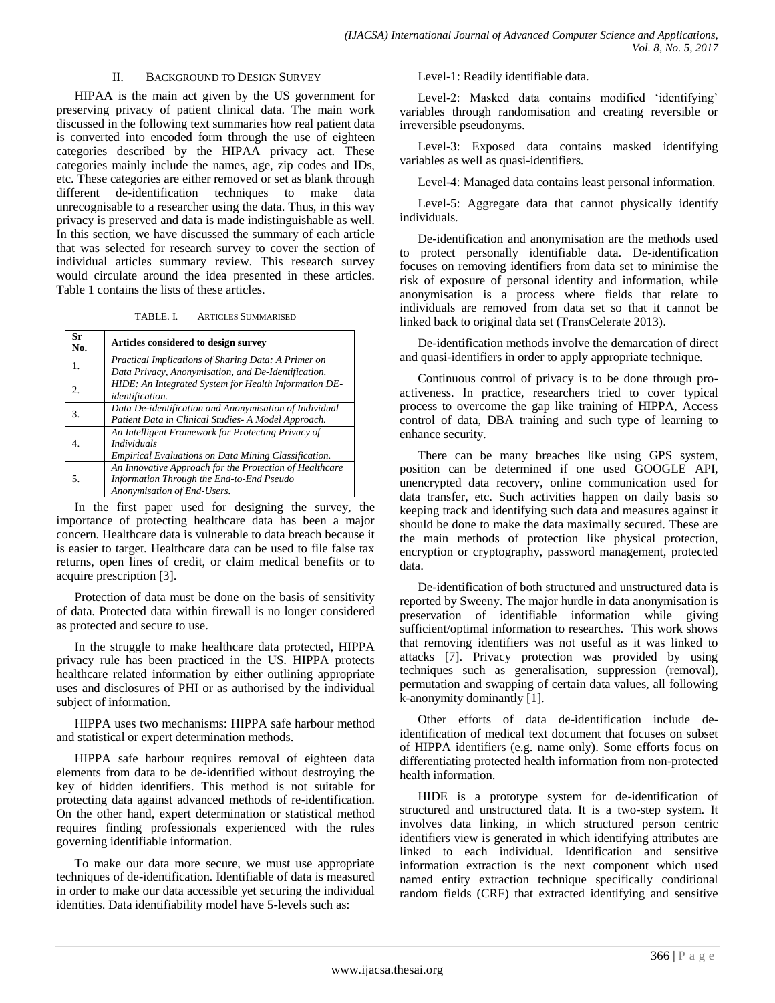#### II. BACKGROUND TO DESIGN SURVEY

HIPAA is the main act given by the US government for preserving privacy of patient clinical data. The main work discussed in the following text summaries how real patient data is converted into encoded form through the use of eighteen categories described by the HIPAA privacy act. These categories mainly include the names, age, zip codes and IDs, etc. These categories are either removed or set as blank through different de-identification techniques to make data unrecognisable to a researcher using the data. Thus, in this way privacy is preserved and data is made indistinguishable as well. In this section, we have discussed the summary of each article that was selected for research survey to cover the section of individual articles summary review. This research survey would circulate around the idea presented in these articles. Table 1 contains the lists of these articles.

TABLE. I. ARTICLES SUMMARISED

| Sr<br>No. | Articles considered to design survey                                                                                                    |
|-----------|-----------------------------------------------------------------------------------------------------------------------------------------|
| 1.        | Practical Implications of Sharing Data: A Primer on<br>Data Privacy, Anonymisation, and De-Identification.                              |
| 2.        | HIDE: An Integrated System for Health Information DE-<br><i>identification.</i>                                                         |
| 3.        | Data De-identification and Anonymisation of Individual<br>Patient Data in Clinical Studies- A Model Approach.                           |
|           | An Intelligent Framework for Protecting Privacy of<br><i>Individuals</i><br><b>Empirical Evaluations on Data Mining Classification.</b> |
| 5.        | An Innovative Approach for the Protection of Healthcare<br>Information Through the End-to-End Pseudo<br>Anonymisation of End-Users.     |

In the first paper used for designing the survey, the importance of protecting healthcare data has been a major concern. Healthcare data is vulnerable to data breach because it is easier to target. Healthcare data can be used to file false tax returns, open lines of credit, or claim medical benefits or to acquire prescription [3].

Protection of data must be done on the basis of sensitivity of data. Protected data within firewall is no longer considered as protected and secure to use.

In the struggle to make healthcare data protected, HIPPA privacy rule has been practiced in the US. HIPPA protects healthcare related information by either outlining appropriate uses and disclosures of PHI or as authorised by the individual subject of information.

HIPPA uses two mechanisms: HIPPA safe harbour method and statistical or expert determination methods.

HIPPA safe harbour requires removal of eighteen data elements from data to be de-identified without destroying the key of hidden identifiers. This method is not suitable for protecting data against advanced methods of re-identification. On the other hand, expert determination or statistical method requires finding professionals experienced with the rules governing identifiable information.

To make our data more secure, we must use appropriate techniques of de-identification. Identifiable of data is measured in order to make our data accessible yet securing the individual identities. Data identifiability model have 5-levels such as:

Level-1: Readily identifiable data.

Level-2: Masked data contains modified 'identifying' variables through randomisation and creating reversible or irreversible pseudonyms.

Level-3: Exposed data contains masked identifying variables as well as quasi-identifiers.

Level-4: Managed data contains least personal information.

Level-5: Aggregate data that cannot physically identify individuals.

De-identification and anonymisation are the methods used to protect personally identifiable data. De-identification focuses on removing identifiers from data set to minimise the risk of exposure of personal identity and information, while anonymisation is a process where fields that relate to individuals are removed from data set so that it cannot be linked back to original data set (TransCelerate 2013).

De-identification methods involve the demarcation of direct and quasi-identifiers in order to apply appropriate technique.

Continuous control of privacy is to be done through proactiveness. In practice, researchers tried to cover typical process to overcome the gap like training of HIPPA, Access control of data, DBA training and such type of learning to enhance security.

There can be many breaches like using GPS system, position can be determined if one used GOOGLE API, unencrypted data recovery, online communication used for data transfer, etc. Such activities happen on daily basis so keeping track and identifying such data and measures against it should be done to make the data maximally secured. These are the main methods of protection like physical protection, encryption or cryptography, password management, protected data.

De-identification of both structured and unstructured data is reported by Sweeny. The major hurdle in data anonymisation is preservation of identifiable information while giving sufficient/optimal information to researches. This work shows that removing identifiers was not useful as it was linked to attacks [7]. Privacy protection was provided by using techniques such as generalisation, suppression (removal), permutation and swapping of certain data values, all following k-anonymity dominantly [1].

Other efforts of data de-identification include deidentification of medical text document that focuses on subset of HIPPA identifiers (e.g. name only). Some efforts focus on differentiating protected health information from non-protected health information.

HIDE is a prototype system for de-identification of structured and unstructured data. It is a two-step system. It involves data linking, in which structured person centric identifiers view is generated in which identifying attributes are linked to each individual. Identification and sensitive information extraction is the next component which used named entity extraction technique specifically conditional random fields (CRF) that extracted identifying and sensitive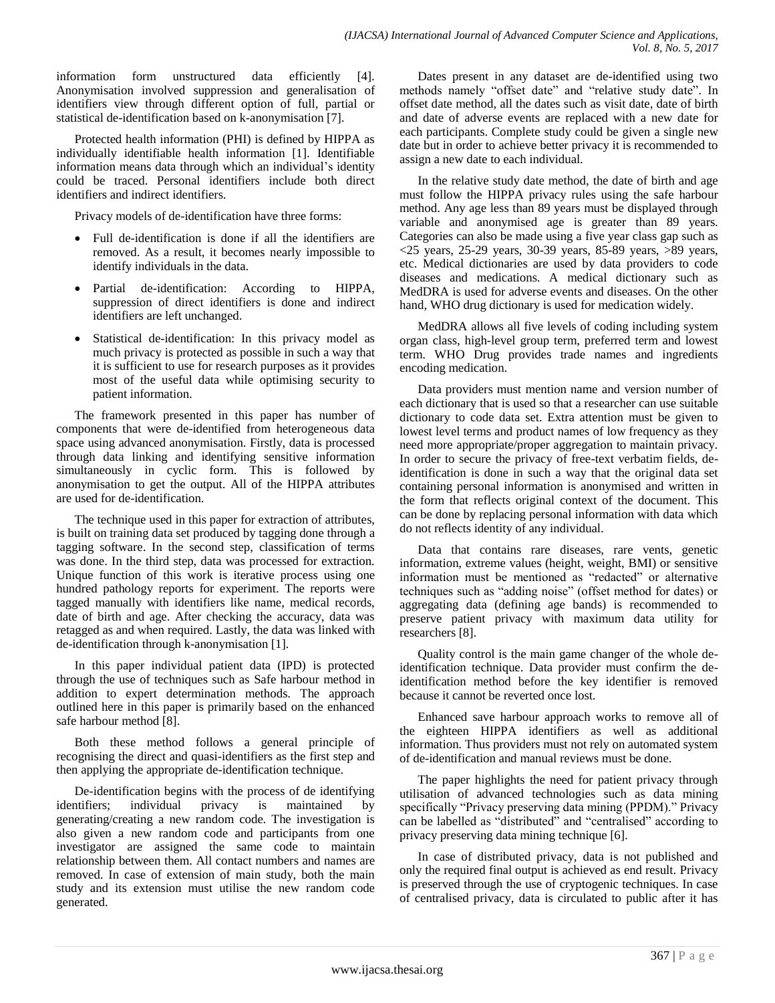information form unstructured data efficiently [4]. Anonymisation involved suppression and generalisation of identifiers view through different option of full, partial or statistical de-identification based on k-anonymisation [7].

Protected health information (PHI) is defined by HIPPA as individually identifiable health information [1]. Identifiable information means data through which an individual"s identity could be traced. Personal identifiers include both direct identifiers and indirect identifiers.

Privacy models of de-identification have three forms:

- Full de-identification is done if all the identifiers are removed. As a result, it becomes nearly impossible to identify individuals in the data.
- Partial de-identification: According to HIPPA, suppression of direct identifiers is done and indirect identifiers are left unchanged.
- Statistical de-identification: In this privacy model as much privacy is protected as possible in such a way that it is sufficient to use for research purposes as it provides most of the useful data while optimising security to patient information.

The framework presented in this paper has number of components that were de-identified from heterogeneous data space using advanced anonymisation. Firstly, data is processed through data linking and identifying sensitive information simultaneously in cyclic form. This is followed by anonymisation to get the output. All of the HIPPA attributes are used for de-identification.

The technique used in this paper for extraction of attributes, is built on training data set produced by tagging done through a tagging software. In the second step, classification of terms was done. In the third step, data was processed for extraction. Unique function of this work is iterative process using one hundred pathology reports for experiment. The reports were tagged manually with identifiers like name, medical records, date of birth and age. After checking the accuracy, data was retagged as and when required. Lastly, the data was linked with de-identification through k-anonymisation [1].

In this paper individual patient data (IPD) is protected through the use of techniques such as Safe harbour method in addition to expert determination methods. The approach outlined here in this paper is primarily based on the enhanced safe harbour method [8].

Both these method follows a general principle of recognising the direct and quasi-identifiers as the first step and then applying the appropriate de-identification technique.

De-identification begins with the process of de identifying identifiers; individual privacy is maintained by generating/creating a new random code. The investigation is also given a new random code and participants from one investigator are assigned the same code to maintain relationship between them. All contact numbers and names are removed. In case of extension of main study, both the main study and its extension must utilise the new random code generated.

Dates present in any dataset are de-identified using two methods namely "offset date" and "relative study date". In offset date method, all the dates such as visit date, date of birth and date of adverse events are replaced with a new date for each participants. Complete study could be given a single new date but in order to achieve better privacy it is recommended to assign a new date to each individual.

In the relative study date method, the date of birth and age must follow the HIPPA privacy rules using the safe harbour method. Any age less than 89 years must be displayed through variable and anonymised age is greater than 89 years. Categories can also be made using a five year class gap such as <25 years, 25-29 years, 30-39 years, 85-89 years, >89 years, etc. Medical dictionaries are used by data providers to code diseases and medications. A medical dictionary such as MedDRA is used for adverse events and diseases. On the other hand, WHO drug dictionary is used for medication widely.

MedDRA allows all five levels of coding including system organ class, high-level group term, preferred term and lowest term. WHO Drug provides trade names and ingredients encoding medication.

Data providers must mention name and version number of each dictionary that is used so that a researcher can use suitable dictionary to code data set. Extra attention must be given to lowest level terms and product names of low frequency as they need more appropriate/proper aggregation to maintain privacy. In order to secure the privacy of free-text verbatim fields, deidentification is done in such a way that the original data set containing personal information is anonymised and written in the form that reflects original context of the document. This can be done by replacing personal information with data which do not reflects identity of any individual.

Data that contains rare diseases, rare vents, genetic information, extreme values (height, weight, BMI) or sensitive information must be mentioned as "redacted" or alternative techniques such as "adding noise" (offset method for dates) or aggregating data (defining age bands) is recommended to preserve patient privacy with maximum data utility for researchers [8].

Quality control is the main game changer of the whole deidentification technique. Data provider must confirm the deidentification method before the key identifier is removed because it cannot be reverted once lost.

Enhanced save harbour approach works to remove all of the eighteen HIPPA identifiers as well as additional information. Thus providers must not rely on automated system of de-identification and manual reviews must be done.

The paper highlights the need for patient privacy through utilisation of advanced technologies such as data mining specifically "Privacy preserving data mining (PPDM)." Privacy can be labelled as "distributed" and "centralised" according to privacy preserving data mining technique [6].

In case of distributed privacy, data is not published and only the required final output is achieved as end result. Privacy is preserved through the use of cryptogenic techniques. In case of centralised privacy, data is circulated to public after it has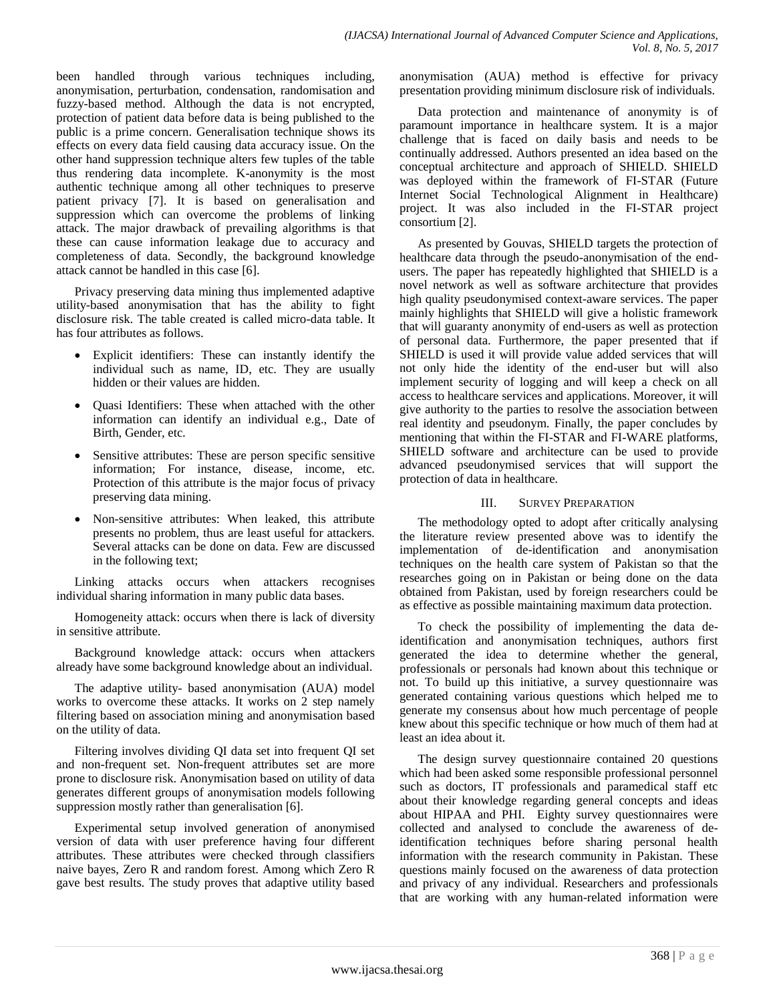been handled through various techniques including, anonymisation, perturbation, condensation, randomisation and fuzzy-based method. Although the data is not encrypted, protection of patient data before data is being published to the public is a prime concern. Generalisation technique shows its effects on every data field causing data accuracy issue. On the other hand suppression technique alters few tuples of the table thus rendering data incomplete. K-anonymity is the most authentic technique among all other techniques to preserve patient privacy [7]. It is based on generalisation and suppression which can overcome the problems of linking attack. The major drawback of prevailing algorithms is that these can cause information leakage due to accuracy and completeness of data. Secondly, the background knowledge attack cannot be handled in this case [6].

Privacy preserving data mining thus implemented adaptive utility-based anonymisation that has the ability to fight disclosure risk. The table created is called micro-data table. It has four attributes as follows.

- Explicit identifiers: These can instantly identify the individual such as name, ID, etc. They are usually hidden or their values are hidden.
- Quasi Identifiers: These when attached with the other information can identify an individual e.g., Date of Birth, Gender, etc.
- Sensitive attributes: These are person specific sensitive information; For instance, disease, income, etc. Protection of this attribute is the major focus of privacy preserving data mining.
- Non-sensitive attributes: When leaked, this attribute presents no problem, thus are least useful for attackers. Several attacks can be done on data. Few are discussed in the following text;

Linking attacks occurs when attackers recognises individual sharing information in many public data bases.

Homogeneity attack: occurs when there is lack of diversity in sensitive attribute.

Background knowledge attack: occurs when attackers already have some background knowledge about an individual.

The adaptive utility- based anonymisation (AUA) model works to overcome these attacks. It works on 2 step namely filtering based on association mining and anonymisation based on the utility of data.

Filtering involves dividing QI data set into frequent QI set and non-frequent set. Non-frequent attributes set are more prone to disclosure risk. Anonymisation based on utility of data generates different groups of anonymisation models following suppression mostly rather than generalisation [6].

Experimental setup involved generation of anonymised version of data with user preference having four different attributes. These attributes were checked through classifiers naive bayes, Zero R and random forest. Among which Zero R gave best results. The study proves that adaptive utility based anonymisation (AUA) method is effective for privacy presentation providing minimum disclosure risk of individuals.

Data protection and maintenance of anonymity is of paramount importance in healthcare system. It is a major challenge that is faced on daily basis and needs to be continually addressed. Authors presented an idea based on the conceptual architecture and approach of SHIELD. SHIELD was deployed within the framework of FI-STAR (Future Internet Social Technological Alignment in Healthcare) project. It was also included in the FI-STAR project consortium [2].

As presented by Gouvas, SHIELD targets the protection of healthcare data through the pseudo-anonymisation of the endusers. The paper has repeatedly highlighted that SHIELD is a novel network as well as software architecture that provides high quality pseudonymised context-aware services. The paper mainly highlights that SHIELD will give a holistic framework that will guaranty anonymity of end-users as well as protection of personal data. Furthermore, the paper presented that if SHIELD is used it will provide value added services that will not only hide the identity of the end-user but will also implement security of logging and will keep a check on all access to healthcare services and applications. Moreover, it will give authority to the parties to resolve the association between real identity and pseudonym. Finally, the paper concludes by mentioning that within the FI-STAR and FI-WARE platforms, SHIELD software and architecture can be used to provide advanced pseudonymised services that will support the protection of data in healthcare.

### III. SURVEY PREPARATION

The methodology opted to adopt after critically analysing the literature review presented above was to identify the implementation of de-identification and anonymisation techniques on the health care system of Pakistan so that the researches going on in Pakistan or being done on the data obtained from Pakistan, used by foreign researchers could be as effective as possible maintaining maximum data protection.

To check the possibility of implementing the data deidentification and anonymisation techniques, authors first generated the idea to determine whether the general, professionals or personals had known about this technique or not. To build up this initiative, a survey questionnaire was generated containing various questions which helped me to generate my consensus about how much percentage of people knew about this specific technique or how much of them had at least an idea about it.

The design survey questionnaire contained 20 questions which had been asked some responsible professional personnel such as doctors, IT professionals and paramedical staff etc about their knowledge regarding general concepts and ideas about HIPAA and PHI. Eighty survey questionnaires were collected and analysed to conclude the awareness of deidentification techniques before sharing personal health information with the research community in Pakistan. These questions mainly focused on the awareness of data protection and privacy of any individual. Researchers and professionals that are working with any human-related information were